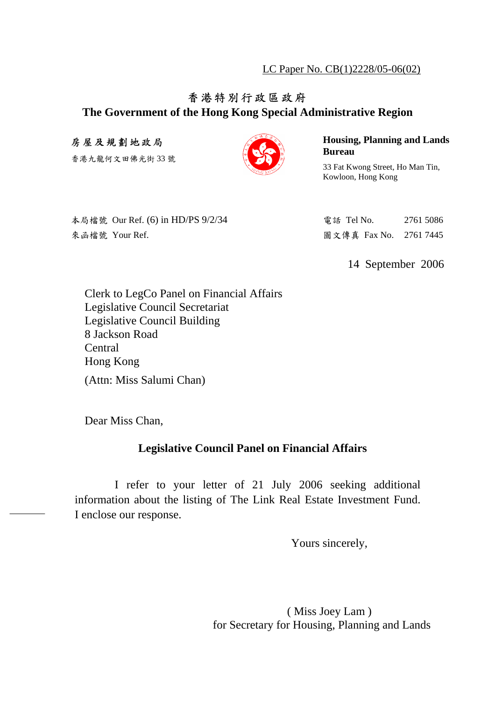LC Paper No. CB(1)2228/05-06(02)

# 香港特別行政區政府

**The Government of the Hong Kong Special Administrative Region** 

### 房屋及規劃地政局

香港九龍何文田佛光街 33 號



#### **Housing, Planning and Lands Bureau**

33 Fat Kwong Street, Ho Man Tin, Kowloon, Hong Kong

| 本局檔號 Our Ref. (6) in HD/PS 9/2/34 |
|-----------------------------------|
| 來函檔號 Your Ref.                    |

電話 Tel No. 2761 5086 圖文傳真 Fax No. 2761 7445

14 September 2006

Clerk to LegCo Panel on Financial Affairs Legislative Council Secretariat Legislative Council Building 8 Jackson Road Central Hong Kong (Attn: Miss Salumi Chan)

Dear Miss Chan,

### **Legislative Council Panel on Financial Affairs**

 I refer to your letter of 21 July 2006 seeking additional information about the listing of The Link Real Estate Investment Fund. I enclose our response.

Yours sincerely,

( Miss Joey Lam ) for Secretary for Housing, Planning and Lands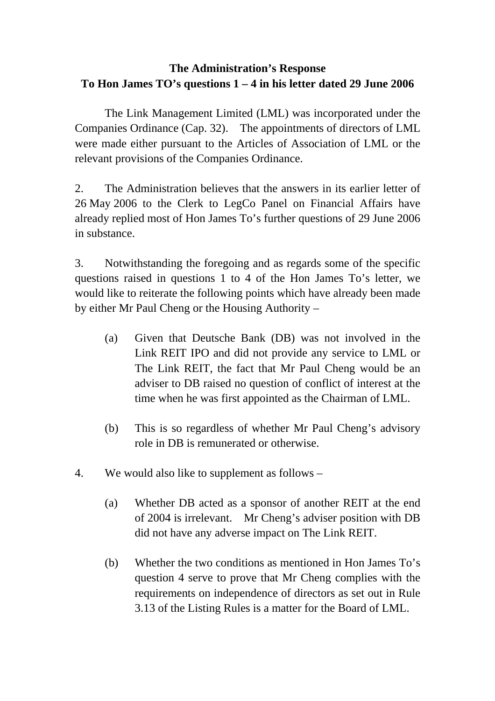## **The Administration's Response To Hon James TO's questions 1 – 4 in his letter dated 29 June 2006**

 The Link Management Limited (LML) was incorporated under the Companies Ordinance (Cap. 32). The appointments of directors of LML were made either pursuant to the Articles of Association of LML or the relevant provisions of the Companies Ordinance.

2. The Administration believes that the answers in its earlier letter of 26 May 2006 to the Clerk to LegCo Panel on Financial Affairs have already replied most of Hon James To's further questions of 29 June 2006 in substance.

3. Notwithstanding the foregoing and as regards some of the specific questions raised in questions 1 to 4 of the Hon James To's letter, we would like to reiterate the following points which have already been made by either Mr Paul Cheng or the Housing Authority –

- (a) Given that Deutsche Bank (DB) was not involved in the Link REIT IPO and did not provide any service to LML or The Link REIT, the fact that Mr Paul Cheng would be an adviser to DB raised no question of conflict of interest at the time when he was first appointed as the Chairman of LML.
- (b) This is so regardless of whether Mr Paul Cheng's advisory role in DB is remunerated or otherwise.
- 4. We would also like to supplement as follows
	- (a) Whether DB acted as a sponsor of another REIT at the end of 2004 is irrelevant. Mr Cheng's adviser position with DB did not have any adverse impact on The Link REIT.
	- (b) Whether the two conditions as mentioned in Hon James To's question 4 serve to prove that Mr Cheng complies with the requirements on independence of directors as set out in Rule 3.13 of the Listing Rules is a matter for the Board of LML.